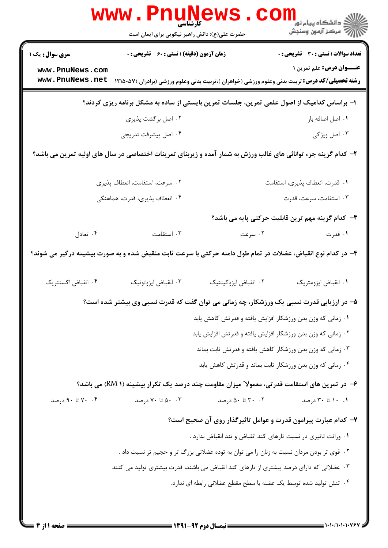| www.PnuNews.<br>کارشناسی                                                                                       |                                                                                               |                                                                                          |                                                                                                                                   |  |  |
|----------------------------------------------------------------------------------------------------------------|-----------------------------------------------------------------------------------------------|------------------------------------------------------------------------------------------|-----------------------------------------------------------------------------------------------------------------------------------|--|--|
|                                                                                                                | حضرت علی(ع): دانش راهبر نیکویی برای ایمان است                                                 |                                                                                          | الا دانشگاه پيام نور<br> <br>  پ                                                                                                  |  |  |
| <b>سری سوال :</b> یک ۱                                                                                         | زمان آزمون (دقیقه) : تستی : 60 ٪ تشریحی : 0                                                   |                                                                                          | <b>تعداد سوالات : تستی : 30 ٪ تشریحی : 0</b>                                                                                      |  |  |
| www.PnuNews.com<br>www.PnuNews.net                                                                             |                                                                                               |                                                                                          | عنــوان درس: علم تمرین ۱<br><b>رشته تحصیلی/کد درس:</b> تربیت بدنی وعلوم ورزشی (خواهران )،تربیت بدنی وعلوم ورزشی (برادران )۵۷-۱۲۱۵ |  |  |
| ۱– براساس کدامیک از اصول علمی تمرین، جلسات تمرین بایستی از ساده به مشکل برنامه ریزی گردند؟                     |                                                                                               |                                                                                          |                                                                                                                                   |  |  |
|                                                                                                                | ۰۲ اصل برگشت پذیری                                                                            |                                                                                          | ٠١ اصل اضافه بار                                                                                                                  |  |  |
|                                                                                                                | ۰۴ اصل پیشرفت تدریجی                                                                          |                                                                                          | ۰۳ اصل ویژگی                                                                                                                      |  |  |
| ۲- کدام گزینه جزء توانائی های غالب ورزش به شمار آمده و زیربنای تمرینات اختصاصی در سال های اولیه تمرین می باشد؟ |                                                                                               |                                                                                          |                                                                                                                                   |  |  |
|                                                                                                                | ۰۲ سرعت، استقامت، انعطاف پذیری                                                                |                                                                                          | ٠١ قدرت، انعطاف پذيري، استقامت                                                                                                    |  |  |
|                                                                                                                | ۴. انعطاف پذیری، قدرت، هماهنگی                                                                |                                                                                          | ۰۳ استقامت، سرعت، قدرت                                                                                                            |  |  |
|                                                                                                                |                                                                                               |                                                                                          | ۳- کدام گزینه مهم ترین قابلیت حرکتی پایه می باشد؟                                                                                 |  |  |
| ۰۴ تعادل                                                                                                       | ۰۳ استقامت                                                                                    | ۰۲ سرعت                                                                                  | ۱. قدرت                                                                                                                           |  |  |
| ۴– در کدام نوع انقباض، عضلات در تمام طول دامنه حرکتی با سرعت ثابت منقبض شده و به صورت بیشینه درگیر می شوند؟    |                                                                                               |                                                                                          |                                                                                                                                   |  |  |
| ۰۴ انقباض اکسنتریک                                                                                             | ۰۳ انقباض ايزوتونيک                                                                           | ٠٢ انقباض ايزوكينتيك                                                                     | ٠١. انقباض ايزومتريك                                                                                                              |  |  |
|                                                                                                                | ۵– در ارزیابی قدرت نسبی یک ورزشکار، چه زمانی می توان گفت که قدرت نسبی وی بیشتر شده است؟       |                                                                                          |                                                                                                                                   |  |  |
|                                                                                                                |                                                                                               | ٠١ زماني كه وزن بدن ورزشكار افزايش يافته و قدرتش كاهش يابد                               |                                                                                                                                   |  |  |
|                                                                                                                |                                                                                               | ۰۲ زمانی که وزن بدن ورزشکار افزایش یافته و قدرتش افزایش یابد                             |                                                                                                                                   |  |  |
|                                                                                                                |                                                                                               | ۰۳ زمانی که وزن بدن ورزشکار کاهش یافته و قدرتش ثابت بماند                                |                                                                                                                                   |  |  |
|                                                                                                                |                                                                                               | ۰۴ زمانی که وزن بدن ورزشکار ثابت بماند و قدرتش کاهش یابد                                 |                                                                                                                                   |  |  |
|                                                                                                                | ۶– در تمرین های استقامت قدرتی، معمولا ؒ میزان مقاومت چند درصد یک تکرار بیشینه (RM ۱) می باشد؟ |                                                                                          |                                                                                                                                   |  |  |
| ۰۴ تا ۹۰ درصد                                                                                                  | ۰۰ تا ۷۰ درصد                                                                                 | ۰۲ تا ۵۰ درصد                                                                            | ۰۱ ۱۰ تا ۳۰ درصد                                                                                                                  |  |  |
|                                                                                                                |                                                                                               | ۷– کدام عبارت پیرامون قدرت و عوامل تاثیرگذار روی آن صحیح است؟                            |                                                                                                                                   |  |  |
|                                                                                                                |                                                                                               | ۰۱ وراثت تاثیری در نسبت تارهای کند انقباض و تند انقباض ندارد .                           |                                                                                                                                   |  |  |
|                                                                                                                |                                                                                               | ۰۲ قوی تر بودن مردان نسبت به زنان را می توان به توده عضلانی بزرگ تر و حجیم تر نسبت داد . |                                                                                                                                   |  |  |
|                                                                                                                | ۰۳ عضلاتی که دارای درصد بیشتری از تارهای کند انقباض می باشند، قدرت بیشتری تولید می کنند       |                                                                                          |                                                                                                                                   |  |  |
| ۰۴ تنش تولید شده توسط یک عضله با سطح مقطع عضلانی رابطه ای ندارد.                                               |                                                                                               |                                                                                          |                                                                                                                                   |  |  |
|                                                                                                                |                                                                                               |                                                                                          |                                                                                                                                   |  |  |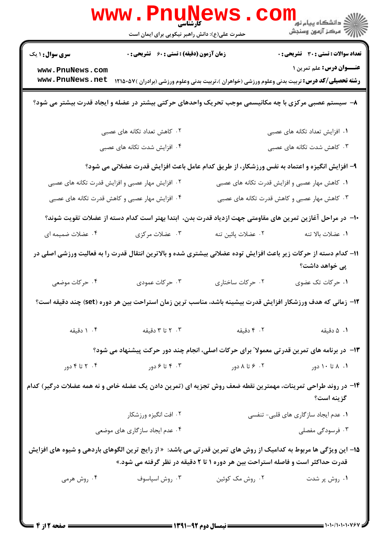|                                                                                                                                                                                                     | <b>WWW.PNUNG</b><br>کارشناسی<br>حضرت علی(ع): دانش راهبر نیکویی برای ایمان است                               |                    | رانشگاه پيام نور<br>الله عرکز آزمهن وسنجش      |  |  |
|-----------------------------------------------------------------------------------------------------------------------------------------------------------------------------------------------------|-------------------------------------------------------------------------------------------------------------|--------------------|------------------------------------------------|--|--|
| <b>سری سوال : ۱ یک</b>                                                                                                                                                                              | <b>زمان آزمون (دقیقه) : تستی : 60 ٪ تشریحی : 0</b>                                                          |                    | تعداد سوالات : تستي : 30 - تشريحي : 0          |  |  |
| www.PnuNews.com<br>www.PnuNews.net                                                                                                                                                                  | <b>رشته تحصیلی/کد درس:</b> تربیت بدنی وعلوم ورزشی (خواهران )،تربیت بدنی وعلوم ورزشی (برادران )۵۷-۱۲۱۵       |                    | <b>عنـــوان درس:</b> علم تمرین ۱               |  |  |
| ۸– سیستم عصبی مرکزی با چه مکانیسمی موجب تحریک واحدهای حرکتی بیشتر در عضله و ایجاد قدرت بیشتر می شود؟                                                                                                |                                                                                                             |                    |                                                |  |  |
|                                                                                                                                                                                                     | ۲. کاهش تعداد تکانه های عصبی                                                                                |                    | ۰۱ افزایش تعداد تکانه های عصبی                 |  |  |
|                                                                                                                                                                                                     | ۴. افزایش شدت تکانه های عصبی                                                                                |                    | ۰۳ کاهش شدت تکانه های عصبی                     |  |  |
| ۹- افزایش انگیزه و اعتماد به نفس ورزشکار، از طریق کدام عامل باعث افزایش قدرت عضلانی می شود؟                                                                                                         |                                                                                                             |                    |                                                |  |  |
|                                                                                                                                                                                                     | ۲. افزایش مهار عصبی و افزایش قدرت تکانه های عصبی                                                            |                    | ۰۱ کاهش مهار عصبی و افزایش قدرت تکانه های عصبی |  |  |
|                                                                                                                                                                                                     | ۰۴ افزایش مهار عصبی و کاهش قدرت تکانه های عصبی                                                              |                    | ۰۳ کاهش مهار عصبی و کاهش قدرت تکانه های عصبی   |  |  |
| ∙ا− در مراحل آغازین تمرین های مقاومتی جهت ازدیاد قدرت بدن، ابتدا بهتر است کدام دسته از عضلات تقویت شوند؟                                                                                            |                                                                                                             |                    |                                                |  |  |
| ۰۴ عضلات ضمیمه ای                                                                                                                                                                                   | ۰۳ عضلات مرکزی                                                                                              | ۰۲ عضلات پائین تنه | ٠١. عضلات بالا تنه                             |  |  |
| 1۱– کدام دسته از حرکات زیر باعث افزایش توده عضلانی بیشتری شده و بالاترین انتقال قدرت را به فعالیت ورزشی اصلی در<br>پی خواهد داشت؟                                                                   |                                                                                                             |                    |                                                |  |  |
| ۰۴ حرکات موضعی                                                                                                                                                                                      | ۰۳ حرکات عمودی                                                                                              | ۰۲ حرکات ساختاری   | ۰۱ حرکات تک عضوی                               |  |  |
| ۱۲– زمانی که هدف ورزشکار افزایش قدرت بیشینه باشد، مناسب ترین زمان استراحت بین هر دوره (set) چند دقیقه است؟                                                                                          |                                                                                                             |                    |                                                |  |  |
| ۰۴ دقیقه                                                                                                                                                                                            | ۰۳ تا ۳ دقیقه                                                                                               | ۰۲ دقیقه           | ۰۱ دقیقه                                       |  |  |
|                                                                                                                                                                                                     | ۱۳– در برنامه های تمرین قدرتی معمولا ً برای حرکات اصلی، انجام چند دور حرکت پیشنهاد می شود؟                  |                    |                                                |  |  |
| ۰۴ تا ۴ دور                                                                                                                                                                                         | ۰۳ تا ۶ دور                                                                                                 | ۰۲ ۶ تا ۸ دور      | ۰۱ ۸ تا ۱۰ دور                                 |  |  |
|                                                                                                                                                                                                     | ۱۴- در روند طراحی تمرینات، مهمترین نقطه ضعف روش تجزیه ای (تمرین دادن یک عضله خاص و نه همه عضلات درگیر) کدام |                    | گزينه است؟                                     |  |  |
|                                                                                                                                                                                                     | ۰۲ افت انگیزه ورزشکار                                                                                       |                    | ۰۱ عدم ایجاد سازگاری های قلبی- تنفسی           |  |  |
|                                                                                                                                                                                                     | ۰۴ عدم ایجاد سازگاری های موضعی                                                                              |                    | ۰۳ فرسودگی مفصلی                               |  |  |
| 1۵– این ویژگی ها مربوط به کدامیک از روش های تمرین قدرتی می باشد:  « از رایج ترین الگوهای باردهی و شیوه های افزایش<br>قدرت حداکثر است و فاصله استراحت بین هر دوره ۱ تا ۲ دقیقه در نظر گرفته می شود.» |                                                                                                             |                    |                                                |  |  |
| ۰۴ روش هرمی                                                                                                                                                                                         | ۰۳ روش اسپاسوف                                                                                              | ۰۲ روش مک کوئین    | ۰۱ روش پر شدت                                  |  |  |
|                                                                                                                                                                                                     |                                                                                                             |                    |                                                |  |  |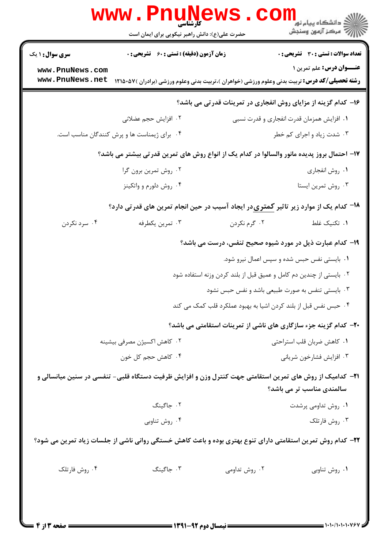| <b>سری سوال : ۱ یک</b> | زمان آزمون (دقیقه) : تستی : 60 ٪ تشریحی : 0                                                                     |                                                                     | <b>تعداد سوالات : تستي : 30 ٪ تشريحي : 0</b>                             |
|------------------------|-----------------------------------------------------------------------------------------------------------------|---------------------------------------------------------------------|--------------------------------------------------------------------------|
| www.PnuNews.com        |                                                                                                                 |                                                                     | <b>عنـــوان درس:</b> علم تمرین ۱                                         |
| www.PnuNews.net        | <b>رشته تحصیلی/کد درس:</b> تربیت بدنی وعلوم ورزشی (خواهران )،تربیت بدنی وعلوم ورزشی (برادران )۵۷ <b>۰</b> ۵۷ ا  |                                                                     |                                                                          |
|                        |                                                                                                                 |                                                                     | ۱۶- کدام گزینه از مزایای روش انفجاری در تمرینات قدرتی می باشد؟           |
|                        | ٢. افزايش حجم عضلاني                                                                                            |                                                                     | ۰۱ افزایش همزمان قدرت انفجاری و قدرت نسبی                                |
|                        | ۰۴ برای ژیمناست ها و پرش کنندگان مناسب است.                                                                     |                                                                     | ۰۳ شدت زیاد و اجرای کم خطر                                               |
|                        | ۱۷– احتمال بروز پدیده مانور والسالوا در کدام یک از انواع روش های تمرین قدرتی بیشتر می باشد؟                     |                                                                     |                                                                          |
| ۰۲ روش تمرين برون گرا  |                                                                                                                 |                                                                     | ٠١ روش انفجاري                                                           |
|                        | ۰۴ روش دلورم و واتکینز                                                                                          |                                                                     | ۰۳ روش تمرين ايستا                                                       |
|                        | <sup>18</sup> – کدام یک از موارد زیر تاثیر کمتریدر ایجاد آسیب در حین انجام تمرین های قدرتی دارد؟                |                                                                     |                                                                          |
| ۰۴ سرد نکردن           | ۰۳ تمرين يكطرفه                                                                                                 | ۰۲ گرم نکردن                                                        | ۰۱ تکنیک غلط                                                             |
|                        |                                                                                                                 |                                                                     | ۱۹- کدام عبارت ذیل در مورد شیوه صحیح تنفس، درست می باشد؟                 |
|                        |                                                                                                                 | ۰۱ بایستی نفس حبس شده و سپس اعمال نیرو شود.                         |                                                                          |
|                        |                                                                                                                 | ۰۲ بایستی از چندین دم کامل و عمیق قبل از بلند کردن وزنه استفاده شود |                                                                          |
|                        |                                                                                                                 | ۰۳ بایستی تنفس به صورت طبیعی باشد و نفس حبس نشود                    |                                                                          |
|                        |                                                                                                                 | ۰۴ حبس نفس قبل از بلند کردن اشیا به بهبود عملکرد قلب کمک می کند     |                                                                          |
|                        |                                                                                                                 |                                                                     | <b>۲۰</b> - کدام گزینه جزء سازگاری های ناشی از تمرینات استقامتی می باشد؟ |
|                        | ۰۲ کاهش اکسیژن مصرفی بیشینه                                                                                     |                                                                     | ٠١ كاهش ضربان قلب استراحتى                                               |
| ۰۴ کاهش حجم کل خون     |                                                                                                                 |                                                                     | ۰۳ افزايش فشارخون شرياني                                                 |
|                        | <b>۲۱</b> – کدامیک از روش های تمرین استقامتی جهت کنترل وزن و افزایش ظرفیت دستگاه قلبی- تنفسی در سنین میانسالی و |                                                                     | سالمندی مناسب تر می باشد؟                                                |
|                        | ٠٢ جاگينگ                                                                                                       |                                                                     | ۰۱ روش تداومی پرشدت                                                      |
|                        | ۰۴ روش تناوبي                                                                                                   |                                                                     | ۰۳ روش فارتلک                                                            |
|                        | ۲۲– کدام روش تمرین استقامتی دارای تنوع بهتری بوده و باعث کاهش خستگی روانی ناشی از جلسات زیاد تمرین می شود؟      |                                                                     |                                                                          |
| ۰۴ روش فارتلک          | ۰۳ جاگینگ                                                                                                       | ۰۲ روش تداومی                                                       | ۰۱ روش تناوبی                                                            |
|                        |                                                                                                                 |                                                                     |                                                                          |